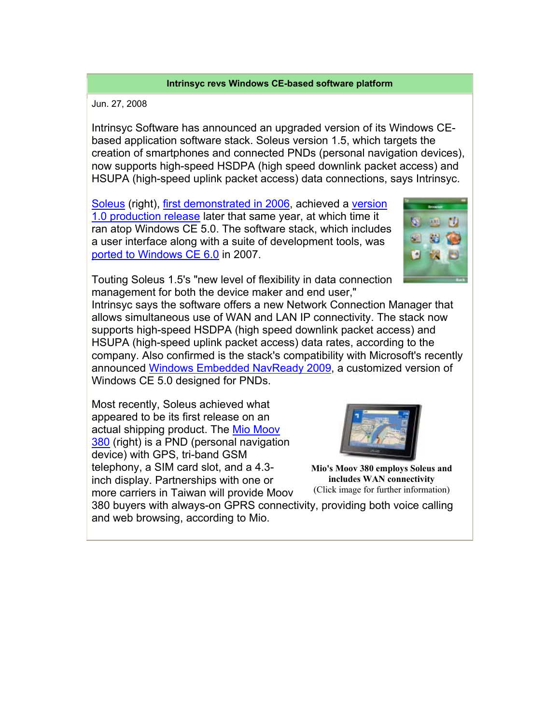## **Intrinsyc revs Windows CE-based software platform**

Jun. 27, 2008

Intrinsyc Software has announced an upgraded version of its Windows CEbased application software stack. Soleus version 1.5, which targets the creation of smartphones and connected PNDs (personal navigation devices), now supports high-speed HSDPA (high speed downlink packet access) and HSUPA (high-speed uplink packet access) data connections, says Intrinsyc.

Soleus (right), first demonstrated in 2006, achieved a version 1.0 production release later that same year, at which time it ran atop Windows CE 5.0. The software stack, which includes a user interface along with a suite of development tools, was ported to Windows CE 6.0 in 2007.



Touting Soleus 1.5's "new level of flexibility in data connection management for both the device maker and end user,"

Intrinsyc says the software offers a new Network Connection Manager that allows simultaneous use of WAN and LAN IP connectivity. The stack now supports high-speed HSDPA (high speed downlink packet access) and HSUPA (high-speed uplink packet access) data rates, according to the company. Also confirmed is the stack's compatibility with Microsoft's recently announced Windows Embedded NavReady 2009, a customized version of Windows CE 5.0 designed for PNDs.

Most recently, Soleus achieved what appeared to be its first release on an actual shipping product. The Mio Moov 380 (right) is a PND (personal navigation device) with GPS, tri-band GSM telephony, a SIM card slot, and a 4.3 inch display. Partnerships with one or more carriers in Taiwan will provide Moov



**Mio's Moov 380 employs Soleus and includes WAN connectivity**  (Click image for further information)

380 buyers with always-on GPRS connectivity, providing both voice calling and web browsing, according to Mio.